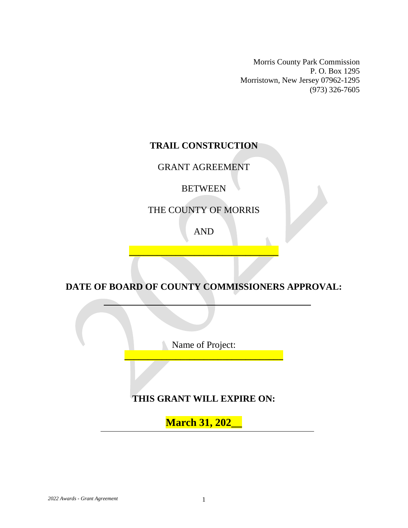Morris County Park Commission P. O. Box 1295 Morristown, New Jersey 07962-1295 (973) 326-7605

### **TRAIL CONSTRUCTION**

GRANT AGREEMENT

### **BETWEEN**

### THE COUNTY OF MORRIS

AND

**\_\_\_\_\_\_\_\_\_\_\_\_\_\_\_\_\_\_\_\_\_\_\_\_\_\_\_\_\_\_\_\_**

**DATE OF BOARD OF COUNTY COMMISSIONERS APPROVAL:**

Name of Project: **\_\_\_\_\_\_\_\_\_\_\_\_\_\_\_\_\_\_\_\_\_\_\_\_\_\_\_\_\_\_\_\_\_\_**

### **THIS GRANT WILL EXPIRE ON:**

**March 31, 202\_\_**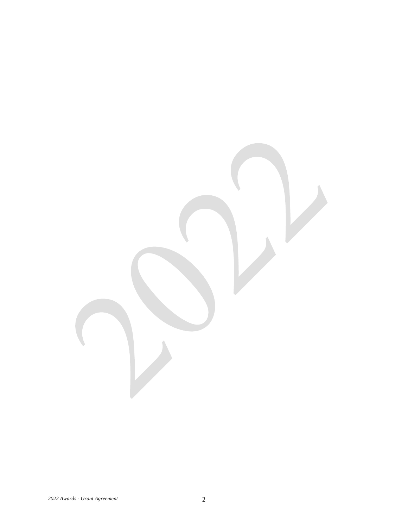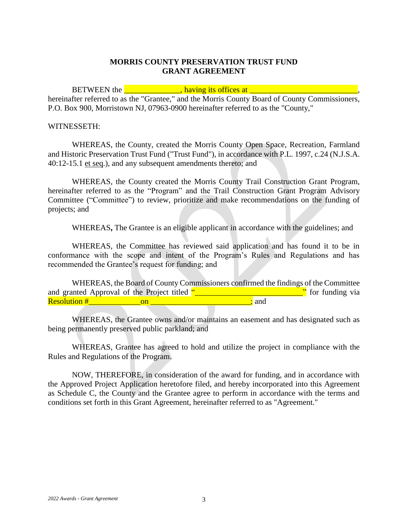#### **MORRIS COUNTY PRESERVATION TRUST FUND GRANT AGREEMENT**

BETWEEN the **EXECUTE 1** and the set of the set of the set of the set of the set of the set of the set of the set of the set of the set of the set of the set of the set of the set of the set of the set of the set of the set

hereinafter referred to as the "Grantee," and the Morris County Board of County Commissioners, P.O. Box 900, Morristown NJ, 07963-0900 hereinafter referred to as the "County,"

#### WITNESSETH:

WHEREAS, the County, created the Morris County Open Space, Recreation, Farmland and Historic Preservation Trust Fund ("Trust Fund"), in accordance with P.L. 1997, c.24 (N.J.S.A. 40:12-15.1 et seq.), and any subsequent amendments thereto; and

WHEREAS, the County created the Morris County Trail Construction Grant Program, hereinafter referred to as the "Program" and the Trail Construction Grant Program Advisory Committee ("Committee") to review, prioritize and make recommendations on the funding of projects; and

WHEREAS**,** The Grantee is an eligible applicant in accordance with the guidelines; and

WHEREAS, the Committee has reviewed said application and has found it to be in conformance with the scope and intent of the Program's Rules and Regulations and has recommended the Grantee's request for funding; and

WHEREAS, the Board of County Commissioners confirmed the findings of the Committee and granted Approval of the Project titled  $''_1$  and  $''_2$  is the multiple via  $''_2$  for funding via Resolution  $\#$  and  $\Box$  on  $\Box$  is the set of  $\Box$  and

WHEREAS, the Grantee owns and/or maintains an easement and has designated such as being permanently preserved public parkland; and

WHEREAS, Grantee has agreed to hold and utilize the project in compliance with the Rules and Regulations of the Program.

NOW, THEREFORE, in consideration of the award for funding, and in accordance with the Approved Project Application heretofore filed, and hereby incorporated into this Agreement as Schedule C, the County and the Grantee agree to perform in accordance with the terms and conditions set forth in this Grant Agreement, hereinafter referred to as "Agreement."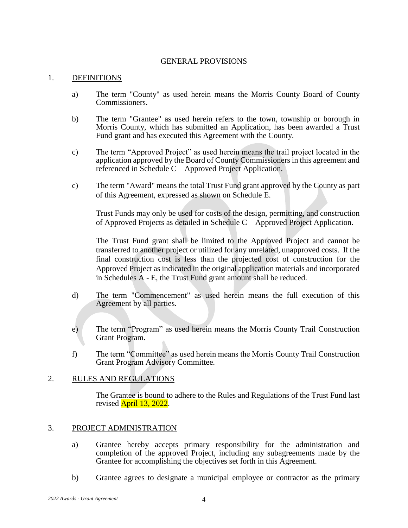#### GENERAL PROVISIONS

#### 1. DEFINITIONS

- a) The term "County" as used herein means the Morris County Board of County Commissioners.
- b) The term "Grantee" as used herein refers to the town, township or borough in Morris County, which has submitted an Application, has been awarded a Trust Fund grant and has executed this Agreement with the County.
- c) The term "Approved Project" as used herein means the trail project located in the application approved by the Board of County Commissioners in this agreement and referenced in Schedule C – Approved Project Application.
- c) The term "Award" means the total Trust Fund grant approved by the County as part of this Agreement, expressed as shown on Schedule E.

Trust Funds may only be used for costs of the design, permitting, and construction of Approved Projects as detailed in Schedule C – Approved Project Application.

The Trust Fund grant shall be limited to the Approved Project and cannot be transferred to another project or utilized for any unrelated, unapproved costs. If the final construction cost is less than the projected cost of construction for the Approved Project as indicated in the original application materials and incorporated in Schedules A - E, the Trust Fund grant amount shall be reduced.

- d) The term "Commencement" as used herein means the full execution of this Agreement by all parties.
- e) The term "Program" as used herein means the Morris County Trail Construction Grant Program.
- f) The term "Committee" as used herein means the Morris County Trail Construction Grant Program Advisory Committee.

#### 2. RULES AND REGULATIONS

The Grantee is bound to adhere to the Rules and Regulations of the Trust Fund last revised April 13, 2022.

#### 3. PROJECT ADMINISTRATION

- a) Grantee hereby accepts primary responsibility for the administration and completion of the approved Project, including any subagreements made by the Grantee for accomplishing the objectives set forth in this Agreement.
- b) Grantee agrees to designate a municipal employee or contractor as the primary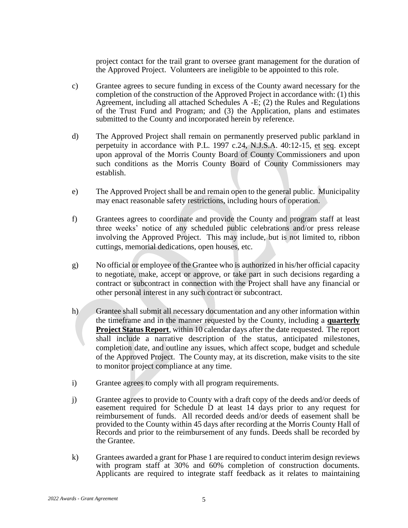project contact for the trail grant to oversee grant management for the duration of the Approved Project. Volunteers are ineligible to be appointed to this role.

- c) Grantee agrees to secure funding in excess of the County award necessary for the completion of the construction of the Approved Project in accordance with: (1) this Agreement, including all attached Schedules A -E; (2) the Rules and Regulations of the Trust Fund and Program; and (3) the Application, plans and estimates submitted to the County and incorporated herein by reference.
- d) The Approved Project shall remain on permanently preserved public parkland in perpetuity in accordance with P.L. 1997 c.24, N.J.S.A. 40:12-15, et seq. except upon approval of the Morris County Board of County Commissioners and upon such conditions as the Morris County Board of County Commissioners may establish.
- e) The Approved Project shall be and remain open to the general public. Municipality may enact reasonable safety restrictions, including hours of operation.
- f) Grantees agrees to coordinate and provide the County and program staff at least three weeks' notice of any scheduled public celebrations and/or press release involving the Approved Project. This may include, but is not limited to, ribbon cuttings, memorial dedications, open houses, etc.
- g) No official or employee of the Grantee who is authorized in his/her official capacity to negotiate, make, accept or approve, or take part in such decisions regarding a contract or subcontract in connection with the Project shall have any financial or other personal interest in any such contract or subcontract.
- h) Grantee shall submit all necessary documentation and any other information within the timeframe and in the manner requested by the County, including a **quarterly Project Status Report**, within 10 calendar days after the date requested. The report shall include a narrative description of the status, anticipated milestones, completion date, and outline any issues, which affect scope, budget and schedule of the Approved Project. The County may, at its discretion, make visits to the site to monitor project compliance at any time.
- i) Grantee agrees to comply with all program requirements.
- j) Grantee agrees to provide to County with a draft copy of the deeds and/or deeds of easement required for Schedule D at least 14 days prior to any request for reimbursement of funds. All recorded deeds and/or deeds of easement shall be provided to the County within 45 days after recording at the Morris County Hall of Records and prior to the reimbursement of any funds. Deeds shall be recorded by the Grantee.
- k) Grantees awarded a grant for Phase 1 are required to conduct interim design reviews with program staff at 30% and 60% completion of construction documents. Applicants are required to integrate staff feedback as it relates to maintaining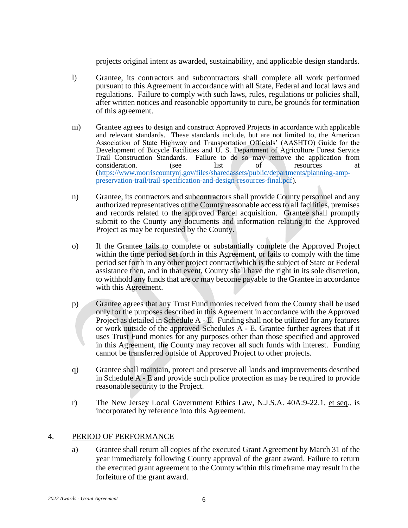projects original intent as awarded, sustainability, and applicable design standards.

- l) Grantee, its contractors and subcontractors shall complete all work performed pursuant to this Agreement in accordance with all State, Federal and local laws and regulations. Failure to comply with such laws, rules, regulations or policies shall, after written notices and reasonable opportunity to cure, be grounds for termination of this agreement.
- m) Grantee agrees to design and construct Approved Projects in accordance with applicable and relevant standards. These standards include, but are not limited to, the American Association of State Highway and Transportation Officials' (AASHTO) Guide for the Development of Bicycle Facilities and U. S. Department of Agriculture Forest Service Trail Construction Standards. Failure to do so may remove the application from consideration. (see list of resources at consideration. (see list of resources [\(https://www.morriscountynj.gov/files/sharedassets/public/departments/planning-amp](https://www.morriscountynj.gov/files/sharedassets/public/departments/planning-amp-preservation-trail/trail-specification-and-design-resources-final.pdf)[preservation-trail/trail-specification-and-design-resources-final.pdf\)](https://www.morriscountynj.gov/files/sharedassets/public/departments/planning-amp-preservation-trail/trail-specification-and-design-resources-final.pdf).
- n) Grantee, its contractors and subcontractors shall provide County personnel and any authorized representatives of the County reasonable access to all facilities, premises and records related to the approved Parcel acquisition. Grantee shall promptly submit to the County any documents and information relating to the Approved Project as may be requested by the County.
- o) If the Grantee fails to complete or substantially complete the Approved Project within the time period set forth in this Agreement, or fails to comply with the time period set forth in any other project contract which is the subject of State or Federal assistance then, and in that event, County shall have the right in its sole discretion, to withhold any funds that are or may become payable to the Grantee in accordance with this Agreement.
- p) Grantee agrees that any Trust Fund monies received from the County shall be used only for the purposes described in this Agreement in accordance with the Approved Project as detailed in Schedule A - E. Funding shall not be utilized for any features or work outside of the approved Schedules A - E. Grantee further agrees that if it uses Trust Fund monies for any purposes other than those specified and approved in this Agreement, the County may recover all such funds with interest. Funding cannot be transferred outside of Approved Project to other projects.
- q) Grantee shall maintain, protect and preserve all lands and improvements described in Schedule A - E and provide such police protection as may be required to provide reasonable security to the Project.
- r) The New Jersey Local Government Ethics Law, N.J.S.A. 40A:9-22.1, et seq., is incorporated by reference into this Agreement.

#### 4. PERIOD OF PERFORMANCE

a) Grantee shall return all copies of the executed Grant Agreement by March 31 of the year immediately following County approval of the grant award. Failure to return the executed grant agreement to the County within this timeframe may result in the forfeiture of the grant award.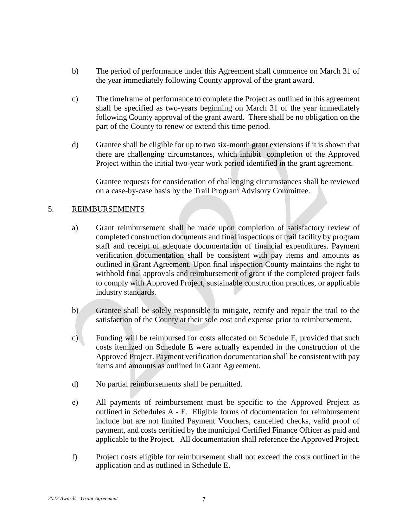- b) The period of performance under this Agreement shall commence on March 31 of the year immediately following County approval of the grant award.
- c) The timeframe of performance to complete the Project as outlined in this agreement shall be specified as two-years beginning on March 31 of the year immediately following County approval of the grant award. There shall be no obligation on the part of the County to renew or extend this time period.
- d) Grantee shall be eligible for up to two six-month grant extensions if it is shown that there are challenging circumstances, which inhibit completion of the Approved Project within the initial two-year work period identified in the grant agreement.

Grantee requests for consideration of challenging circumstances shall be reviewed on a case-by-case basis by the Trail Program Advisory Committee.

#### 5. REIMBURSEMENTS

- a) Grant reimbursement shall be made upon completion of satisfactory review of completed construction documents and final inspections of trail facility by program staff and receipt of adequate documentation of financial expenditures. Payment verification documentation shall be consistent with pay items and amounts as outlined in Grant Agreement. Upon final inspection County maintains the right to withhold final approvals and reimbursement of grant if the completed project fails to comply with Approved Project, sustainable construction practices, or applicable industry standards.
- b) Grantee shall be solely responsible to mitigate, rectify and repair the trail to the satisfaction of the County at their sole cost and expense prior to reimbursement.
- c) Funding will be reimbursed for costs allocated on Schedule E, provided that such costs itemized on Schedule E were actually expended in the construction of the Approved Project. Payment verification documentation shall be consistent with pay items and amounts as outlined in Grant Agreement.
- d) No partial reimbursements shall be permitted.
- e) All payments of reimbursement must be specific to the Approved Project as outlined in Schedules A - E. Eligible forms of documentation for reimbursement include but are not limited Payment Vouchers, cancelled checks, valid proof of payment, and costs certified by the municipal Certified Finance Officer as paid and applicable to the Project. All documentation shall reference the Approved Project.
- f) Project costs eligible for reimbursement shall not exceed the costs outlined in the application and as outlined in Schedule E.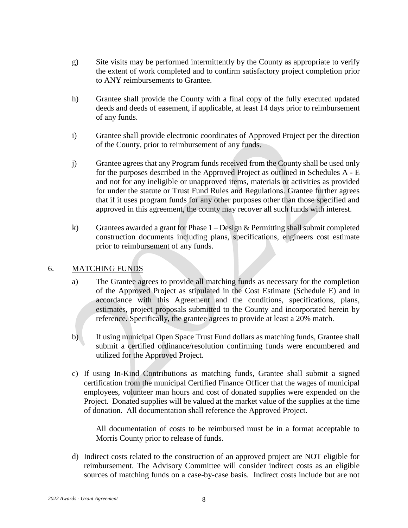- g) Site visits may be performed intermittently by the County as appropriate to verify the extent of work completed and to confirm satisfactory project completion prior to ANY reimbursements to Grantee.
- h) Grantee shall provide the County with a final copy of the fully executed updated deeds and deeds of easement, if applicable, at least 14 days prior to reimbursement of any funds.
- i) Grantee shall provide electronic coordinates of Approved Project per the direction of the County, prior to reimbursement of any funds.
- j) Grantee agrees that any Program funds received from the County shall be used only for the purposes described in the Approved Project as outlined in Schedules A - E and not for any ineligible or unapproved items, materials or activities as provided for under the statute or Trust Fund Rules and Regulations. Grantee further agrees that if it uses program funds for any other purposes other than those specified and approved in this agreement, the county may recover all such funds with interest.
- k) Grantees awarded a grant for Phase 1 Design & Permitting shall submit completed construction documents including plans, specifications, engineers cost estimate prior to reimbursement of any funds.

#### 6. MATCHING FUNDS

- a) The Grantee agrees to provide all matching funds as necessary for the completion of the Approved Project as stipulated in the Cost Estimate (Schedule E) and in accordance with this Agreement and the conditions, specifications, plans, estimates, project proposals submitted to the County and incorporated herein by reference. Specifically, the grantee agrees to provide at least a 20% match.
- b) If using municipal Open Space Trust Fund dollars as matching funds, Grantee shall submit a certified ordinance/resolution confirming funds were encumbered and utilized for the Approved Project.
- c) If using In-Kind Contributions as matching funds, Grantee shall submit a signed certification from the municipal Certified Finance Officer that the wages of municipal employees, volunteer man hours and cost of donated supplies were expended on the Project. Donated supplies will be valued at the market value of the supplies at the time of donation. All documentation shall reference the Approved Project.

All documentation of costs to be reimbursed must be in a format acceptable to Morris County prior to release of funds.

d) Indirect costs related to the construction of an approved project are NOT eligible for reimbursement. The Advisory Committee will consider indirect costs as an eligible sources of matching funds on a case-by-case basis. Indirect costs include but are not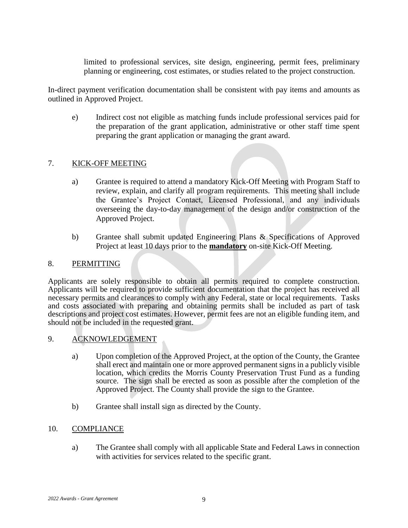limited to professional services, site design, engineering, permit fees, preliminary planning or engineering, cost estimates, or studies related to the project construction.

In-direct payment verification documentation shall be consistent with pay items and amounts as outlined in Approved Project.

e) Indirect cost not eligible as matching funds include professional services paid for the preparation of the grant application, administrative or other staff time spent preparing the grant application or managing the grant award.

#### 7. KICK-OFF MEETING

- a) Grantee is required to attend a mandatory Kick-Off Meeting with Program Staff to review, explain, and clarify all program requirements. This meeting shall include the Grantee's Project Contact, Licensed Professional, and any individuals overseeing the day-to-day management of the design and/or construction of the Approved Project.
- b) Grantee shall submit updated Engineering Plans & Specifications of Approved Project at least 10 days prior to the **mandatory** on-site Kick-Off Meeting.

#### 8. PERMITTING

Applicants are solely responsible to obtain all permits required to complete construction. Applicants will be required to provide sufficient documentation that the project has received all necessary permits and clearances to comply with any Federal, state or local requirements. Tasks and costs associated with preparing and obtaining permits shall be included as part of task descriptions and project cost estimates. However, permit fees are not an eligible funding item, and should not be included in the requested grant.

#### 9. ACKNOWLEDGEMENT

- a) Upon completion of the Approved Project, at the option of the County, the Grantee shall erect and maintain one or more approved permanent signs in a publicly visible location, which credits the Morris County Preservation Trust Fund as a funding source. The sign shall be erected as soon as possible after the completion of the Approved Project. The County shall provide the sign to the Grantee.
- b) Grantee shall install sign as directed by the County.

#### 10. COMPLIANCE

a) The Grantee shall comply with all applicable State and Federal Laws in connection with activities for services related to the specific grant.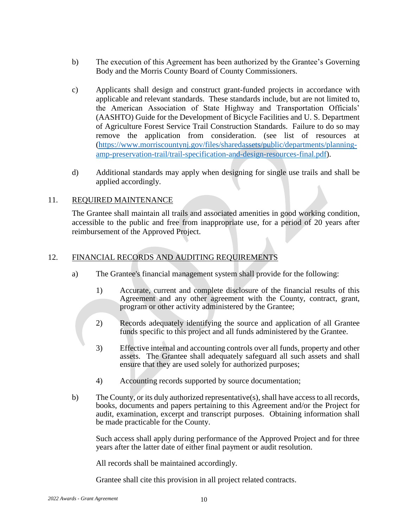- b) The execution of this Agreement has been authorized by the Grantee's Governing Body and the Morris County Board of County Commissioners.
- c) Applicants shall design and construct grant-funded projects in accordance with applicable and relevant standards. These standards include, but are not limited to, the American Association of State Highway and Transportation Officials' (AASHTO) Guide for the Development of Bicycle Facilities and U. S. Department of Agriculture Forest Service Trail Construction Standards. Failure to do so may remove the application from consideration. (see list of resources at [\(https://www.morriscountynj.gov/files/sharedassets/public/departments/planning](https://www.morriscountynj.gov/files/sharedassets/public/departments/planning-amp-preservation-trail/trail-specification-and-design-resources-final.pdf)[amp-preservation-trail/trail-specification-and-design-resources-final.pdf\)](https://www.morriscountynj.gov/files/sharedassets/public/departments/planning-amp-preservation-trail/trail-specification-and-design-resources-final.pdf).
- d) Additional standards may apply when designing for single use trails and shall be applied accordingly.

#### 11. REQUIRED MAINTENANCE

The Grantee shall maintain all trails and associated amenities in good working condition, accessible to the public and free from inappropriate use, for a period of 20 years after reimbursement of the Approved Project.

#### 12. FINANCIAL RECORDS AND AUDITING REQUIREMENTS

- a) The Grantee's financial management system shall provide for the following:
	- 1) Accurate, current and complete disclosure of the financial results of this Agreement and any other agreement with the County, contract, grant, program or other activity administered by the Grantee;
	- 2) Records adequately identifying the source and application of all Grantee funds specific to this project and all funds administered by the Grantee.
	- 3) Effective internal and accounting controls over all funds, property and other assets. The Grantee shall adequately safeguard all such assets and shall ensure that they are used solely for authorized purposes;
	- 4) Accounting records supported by source documentation;
- b) The County, or its duly authorized representative(s), shall have access to all records, books, documents and papers pertaining to this Agreement and/or the Project for audit, examination, excerpt and transcript purposes. Obtaining information shall be made practicable for the County.

Such access shall apply during performance of the Approved Project and for three years after the latter date of either final payment or audit resolution.

All records shall be maintained accordingly.

Grantee shall cite this provision in all project related contracts.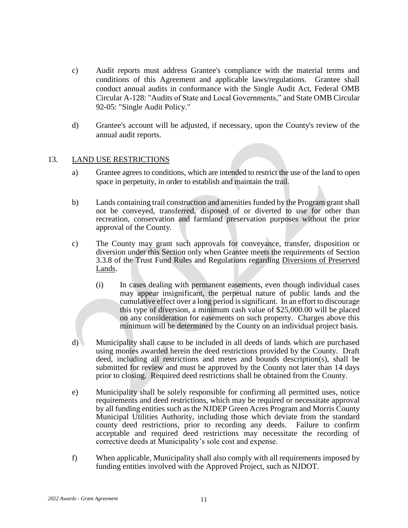- c) Audit reports must address Grantee's compliance with the material terms and conditions of this Agreement and applicable laws/regulations. Grantee shall conduct annual audits in conformance with the Single Audit Act, Federal OMB Circular A-128: "Audits of State and Local Governments," and State OMB Circular 92-05: "Single Audit Policy."
- d) Grantee's account will be adjusted, if necessary, upon the County's review of the annual audit reports.

#### 13. LAND USE RESTRICTIONS

- a) Grantee agrees to conditions, which are intended to restrict the use of the land to open space in perpetuity, in order to establish and maintain the trail.
- b) Lands containing trail construction and amenities funded by the Program grant shall not be conveyed, transferred, disposed of or diverted to use for other than recreation, conservation and farmland preservation purposes without the prior approval of the County.
- c) The County may grant such approvals for conveyance, transfer, disposition or diversion under this Section only when Grantee meets the requirements of Section 3.3.8 of the Trust Fund Rules and Regulations regarding Diversions of Preserved Lands.
	- (i) In cases dealing with permanent easements, even though individual cases may appear insignificant, the perpetual nature of public lands and the cumulative effect over a long period is significant. In an effort to discourage this type of diversion, a minimum cash value of \$25,000.00 will be placed on any consideration for easements on such property. Charges above this minimum will be determined by the County on an individual project basis.
- d) Municipality shall cause to be included in all deeds of lands which are purchased using monies awarded herein the deed restrictions provided by the County. Draft deed, including all restrictions and metes and bounds description(s), shall be submitted for review and must be approved by the County not later than 14 days prior to closing. Required deed restrictions shall be obtained from the County.
- e) Municipality shall be solely responsible for confirming all permitted uses, notice requirements and deed restrictions, which may be required or necessitate approval by all funding entities such as the NJDEP Green Acres Program and Morris County Municipal Utilities Authority, including those which deviate from the standard county deed restrictions, prior to recording any deeds. Failure to confirm acceptable and required deed restrictions may necessitate the recording of corrective deeds at Municipality's sole cost and expense.
- f) When applicable, Municipality shall also comply with all requirements imposed by funding entities involved with the Approved Project, such as NJDOT.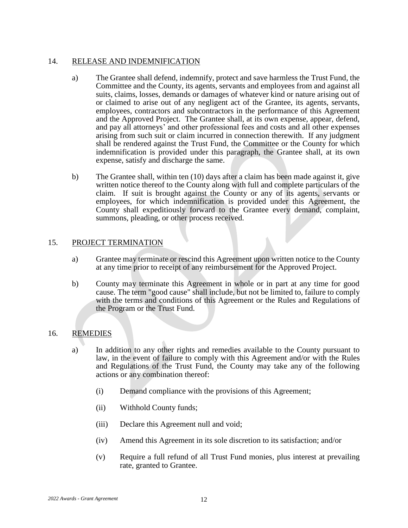#### 14. RELEASE AND INDEMNIFICATION

- a) The Grantee shall defend, indemnify, protect and save harmless the Trust Fund, the Committee and the County, its agents, servants and employees from and against all suits, claims, losses, demands or damages of whatever kind or nature arising out of or claimed to arise out of any negligent act of the Grantee, its agents, servants, employees, contractors and subcontractors in the performance of this Agreement and the Approved Project. The Grantee shall, at its own expense, appear, defend, and pay all attorneys' and other professional fees and costs and all other expenses arising from such suit or claim incurred in connection therewith. If any judgment shall be rendered against the Trust Fund, the Committee or the County for which indemnification is provided under this paragraph, the Grantee shall, at its own expense, satisfy and discharge the same.
- b) The Grantee shall, within ten (10) days after a claim has been made against it, give written notice thereof to the County along with full and complete particulars of the claim. If suit is brought against the County or any of its agents, servants or employees, for which indemnification is provided under this Agreement, the County shall expeditiously forward to the Grantee every demand, complaint, summons, pleading, or other process received.

#### 15. PROJECT TERMINATION

- a) Grantee may terminate or rescind this Agreement upon written notice to the County at any time prior to receipt of any reimbursement for the Approved Project.
- b) County may terminate this Agreement in whole or in part at any time for good cause. The term "good cause" shall include, but not be limited to, failure to comply with the terms and conditions of this Agreement or the Rules and Regulations of the Program or the Trust Fund.

#### 16. REMEDIES

- a) In addition to any other rights and remedies available to the County pursuant to law, in the event of failure to comply with this Agreement and/or with the Rules and Regulations of the Trust Fund, the County may take any of the following actions or any combination thereof:
	- (i) Demand compliance with the provisions of this Agreement;
	- (ii) Withhold County funds;
	- (iii) Declare this Agreement null and void;
	- (iv) Amend this Agreement in its sole discretion to its satisfaction; and/or
	- (v) Require a full refund of all Trust Fund monies, plus interest at prevailing rate, granted to Grantee.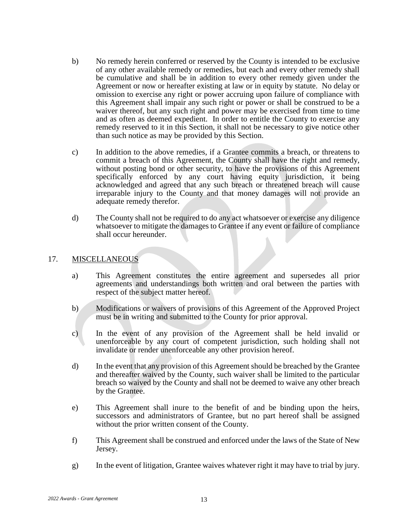- b) No remedy herein conferred or reserved by the County is intended to be exclusive of any other available remedy or remedies, but each and every other remedy shall be cumulative and shall be in addition to every other remedy given under the Agreement or now or hereafter existing at law or in equity by statute. No delay or omission to exercise any right or power accruing upon failure of compliance with this Agreement shall impair any such right or power or shall be construed to be a waiver thereof, but any such right and power may be exercised from time to time and as often as deemed expedient. In order to entitle the County to exercise any remedy reserved to it in this Section, it shall not be necessary to give notice other than such notice as may be provided by this Section.
- c) In addition to the above remedies, if a Grantee commits a breach, or threatens to commit a breach of this Agreement, the County shall have the right and remedy, without posting bond or other security, to have the provisions of this Agreement specifically enforced by any court having equity jurisdiction, it being acknowledged and agreed that any such breach or threatened breach will cause irreparable injury to the County and that money damages will not provide an adequate remedy therefor.
- d) The County shall not be required to do any act whatsoever or exercise any diligence whatsoever to mitigate the damages to Grantee if any event or failure of compliance shall occur hereunder.

#### 17. MISCELLANEOUS

- a) This Agreement constitutes the entire agreement and supersedes all prior agreements and understandings both written and oral between the parties with respect of the subject matter hereof.
- b) Modifications or waivers of provisions of this Agreement of the Approved Project must be in writing and submitted to the County for prior approval.
- c) In the event of any provision of the Agreement shall be held invalid or unenforceable by any court of competent jurisdiction, such holding shall not invalidate or render unenforceable any other provision hereof.
- d) In the event that any provision of this Agreement should be breached by the Grantee and thereafter waived by the County, such waiver shall be limited to the particular breach so waived by the County and shall not be deemed to waive any other breach by the Grantee.
- e) This Agreement shall inure to the benefit of and be binding upon the heirs, successors and administrators of Grantee, but no part hereof shall be assigned without the prior written consent of the County.
- f) This Agreement shall be construed and enforced under the laws of the State of New Jersey.
- g) In the event of litigation, Grantee waives whatever right it may have to trial by jury.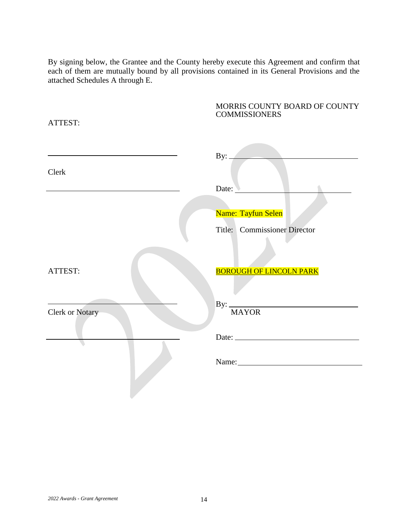By signing below, the Grantee and the County hereby execute this Agreement and confirm that each of them are mutually bound by all provisions contained in its General Provisions and the attached Schedules A through E.

| ATTEST:                | MORRIS COUNTY BOARD OF COUNTY<br><b>COMMISSIONERS</b> |
|------------------------|-------------------------------------------------------|
| Clerk                  | $\mathbf{B}$ y: $\_\_\_\_\_\_\_\_\_$                  |
|                        | Date:                                                 |
|                        | Name: Tayfun Selen                                    |
|                        | Title: Commissioner Director                          |
| ATTEST:                | <b>BOROUGH OF LINCOLN PARK</b>                        |
| <b>Clerk or Notary</b> | $\mathbf{B}$ y: $\frac{\mathbf{MAYOR}}{}$             |
|                        |                                                       |
|                        |                                                       |
|                        |                                                       |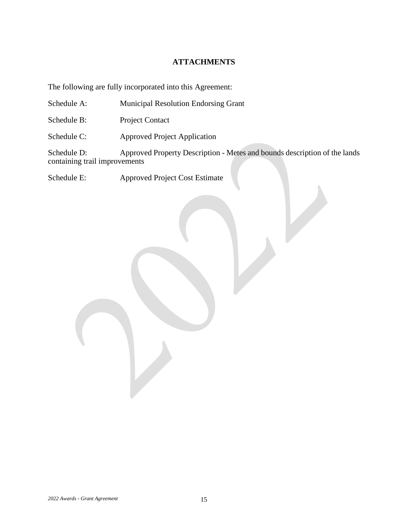#### **ATTACHMENTS**

The following are fully incorporated into this Agreement:

- Schedule A: Municipal Resolution Endorsing Grant
- Schedule B: Project Contact
- Schedule C: Approved Project Application

Schedule D: Approved Property Description - Metes and bounds description of the lands containing trail improvements

Schedule E: Approved Project Cost Estimate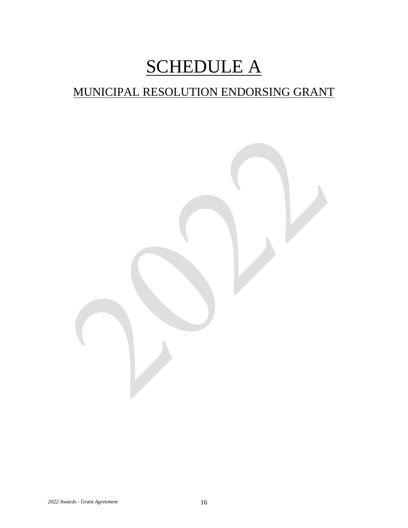# SCHEDULE A

## MUNICIPAL RESOLUTION ENDORSING GRANT

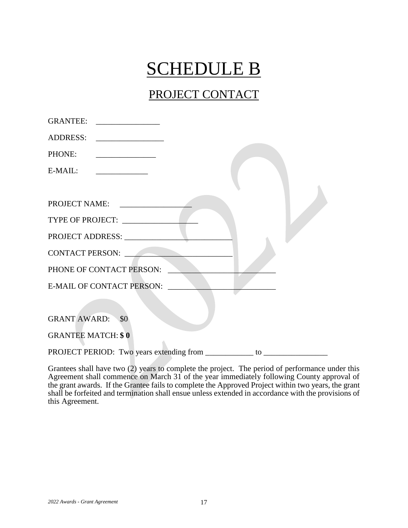# SCHEDULE B

## PROJECT CONTACT

| GRANTEE:                                                                                                                                                                                                                      |
|-------------------------------------------------------------------------------------------------------------------------------------------------------------------------------------------------------------------------------|
| ADDRESS:                                                                                                                                                                                                                      |
| PHONE:<br><u> The Common State Common State Common</u>                                                                                                                                                                        |
| E-MAIL:<br><u> 1980 - Andrea Britain, politik e</u> ta eta p                                                                                                                                                                  |
|                                                                                                                                                                                                                               |
| PROJECT NAME:                                                                                                                                                                                                                 |
| TYPE OF PROJECT:                                                                                                                                                                                                              |
| PROJECT ADDRESS: University of the Community of the Community of the Community of the Community of the Community of the Community of the Community of the Community of the Community of the Community of the Community of the |
| CONTACT PERSON:                                                                                                                                                                                                               |
| PHONE OF CONTACT PERSON:                                                                                                                                                                                                      |
| E-MAIL OF CONTACT PERSON:                                                                                                                                                                                                     |
|                                                                                                                                                                                                                               |
| <b>GRANT AWARD: \$0</b>                                                                                                                                                                                                       |
| <b>GRANTEE MATCH: \$0</b>                                                                                                                                                                                                     |
|                                                                                                                                                                                                                               |

Grantees shall have two (2) years to complete the project. The period of performance under this Agreement shall commence on March 31 of the year immediately following County approval of the grant awards. If the Grantee fails to complete the Approved Project within two years, the grant shall be forfeited and termination shall ensue unless extended in accordance with the provisions of this Agreement.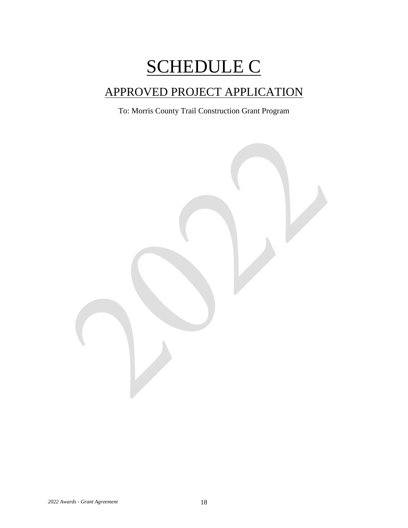# SCHEDULE C

## APPROVED PROJECT APPLICATION

To: Morris County Trail Construction Grant Program

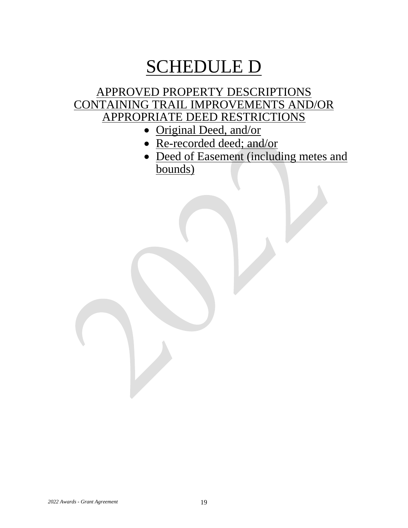# SCHEDULE D

### APPROVED PROPERTY DESCRIPTIONS CONTAINING TRAIL IMPROVEMENTS AND/OR APPROPRIATE DEED RESTRICTIONS

- Original Deed, and/or
- Re-recorded deed; and/or
- Deed of Easement (including metes and bounds)